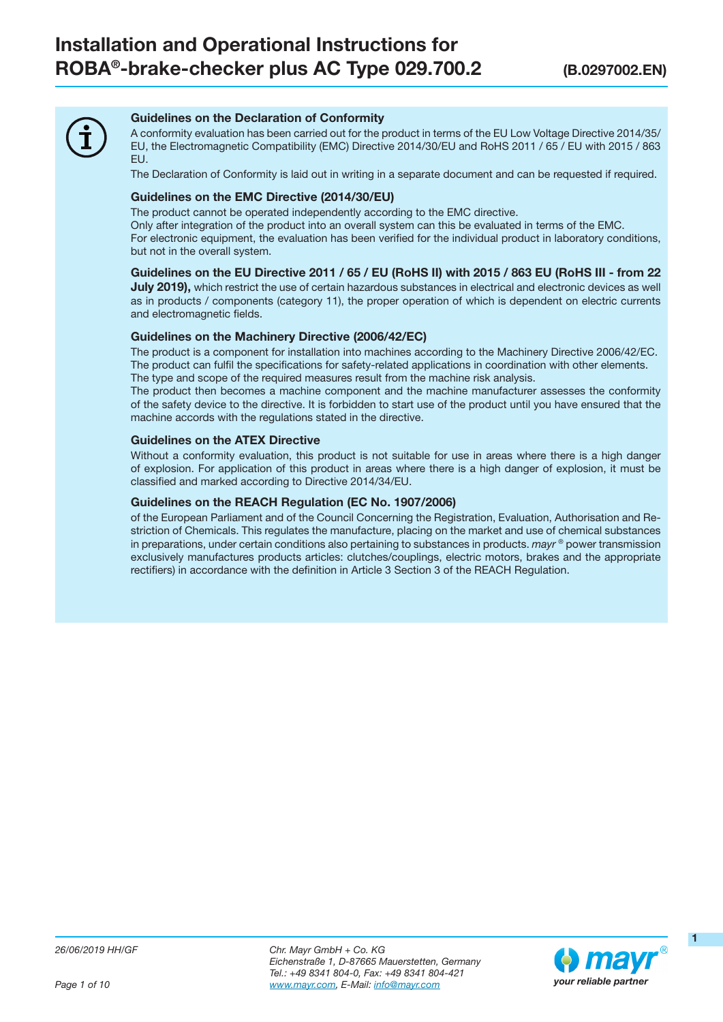

#### Guidelines on the Declaration of Conformity

A conformity evaluation has been carried out for the product in terms of the EU Low Voltage Directive 2014/35/ EU, the Electromagnetic Compatibility (EMC) Directive 2014/30/EU and RoHS 2011 / 65 / EU with 2015 / 863 EU.

The Declaration of Conformity is laid out in writing in a separate document and can be requested if required.

#### Guidelines on the EMC Directive (2014/30/EU)

The product cannot be operated independently according to the EMC directive.

Only after integration of the product into an overall system can this be evaluated in terms of the EMC. For electronic equipment, the evaluation has been verified for the individual product in laboratory conditions, but not in the overall system.

#### Guidelines on the EU Directive 2011 / 65 / EU (RoHS II) with 2015 / 863 EU (RoHS III - from 22

**July 2019)**, which restrict the use of certain hazardous substances in electrical and electronic devices as well as in products / components (category 11), the proper operation of which is dependent on electric currents and electromagnetic fields.

#### Guidelines on the Machinery Directive (2006/42/EC)

The product is a component for installation into machines according to the Machinery Directive 2006/42/EC. The product can fulfil the specifications for safety-related applications in coordination with other elements. The type and scope of the required measures result from the machine risk analysis.

The product then becomes a machine component and the machine manufacturer assesses the conformity of the safety device to the directive. It is forbidden to start use of the product until you have ensured that the machine accords with the regulations stated in the directive.

#### Guidelines on the ATEX Directive

Without a conformity evaluation, this product is not suitable for use in areas where there is a high danger of explosion. For application of this product in areas where there is a high danger of explosion, it must be classified and marked according to Directive 2014/34/EU.

#### Guidelines on the REACH Regulation (EC No. 1907/2006)

of the European Parliament and of the Council Concerning the Registration, Evaluation, Authorisation and Restriction of Chemicals. This regulates the manufacture, placing on the market and use of chemical substances in preparations, under certain conditions also pertaining to substances in products.  $m$ ayr  $\degree$  power transmission exclusively manufactures products articles: clutches/couplings, electric motors, brakes and the appropriate rectifiers) in accordance with the definition in Article 3 Section 3 of the REACH Regulation.

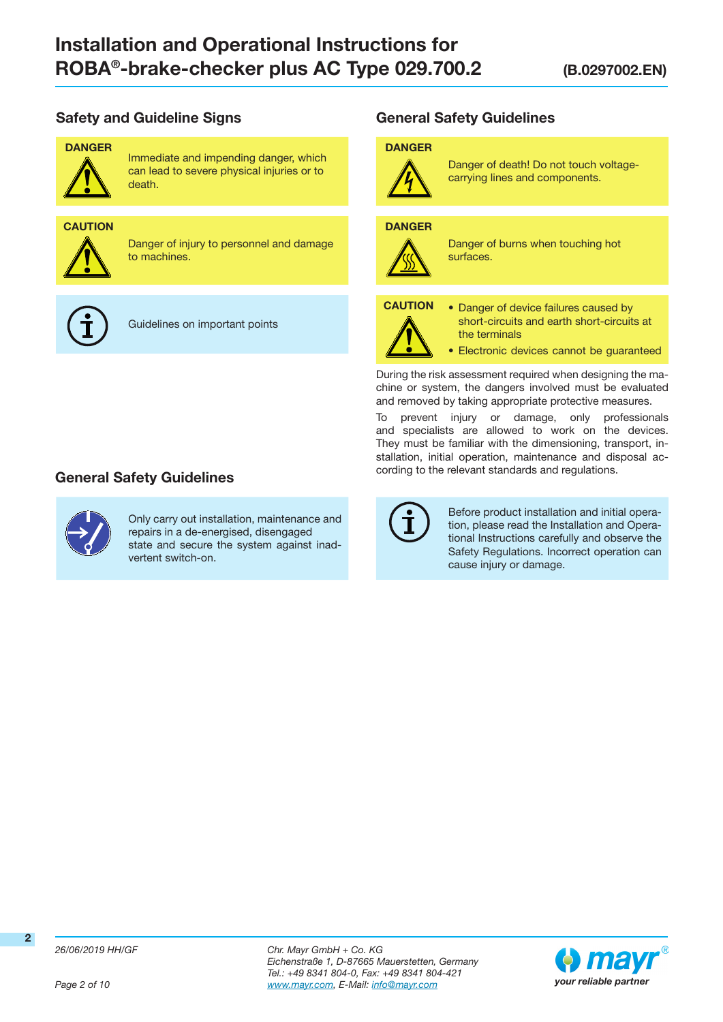# Safety and Guideline Signs



Immediate and impending danger, which can lead to severe physical injuries or to death.

# **CAUTION**



Danger of injury to personnel and damage to machines.



Guidelines on important points

# General Safety Guidelines



Only carry out installation, maintenance and repairs in a de-energised, disengaged state and secure the system against inadvertent switch-on.

General Safety Guidelines

#### DANGER



Danger of death! Do not touch voltagecarrying lines and components.

#### **DANGER**



Danger of burns when touching hot surfaces.



- CAUTION Danger of device failures caused by short-circuits and earth short-circuits at the terminals
	- Electronic devices cannot be guaranteed

During the risk assessment required when designing the machine or system, the dangers involved must be evaluated and removed by taking appropriate protective measures.

To prevent injury or damage, only professionals and specialists are allowed to work on the devices. They must be familiar with the dimensioning, transport, installation, initial operation, maintenance and disposal according to the relevant standards and regulations.



Before product installation and initial operation, please read the Installation and Operational Instructions carefully and observe the Safety Regulations. Incorrect operation can cause injury or damage.

Page 2 of 10

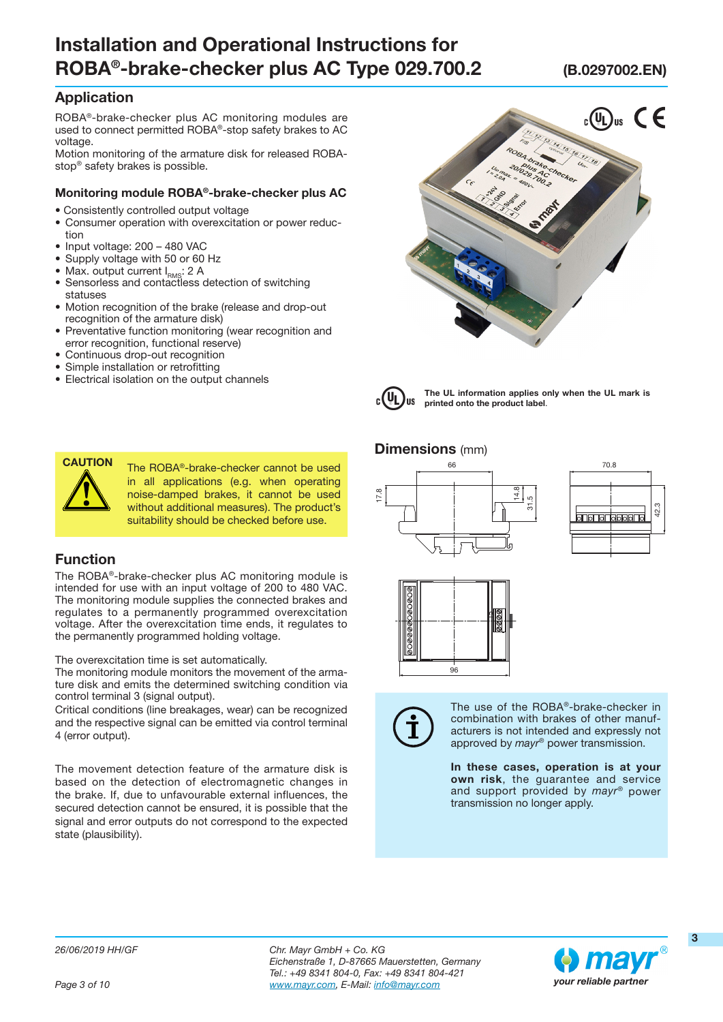# Application

ROBA®-brake-checker plus AC monitoring modules are used to connect permitted ROBA®-stop safety brakes to AC voltage.

Motion monitoring of the armature disk for released ROBAstop® safety brakes is possible.

#### Monitoring module ROBA®-brake-checker plus AC

- Consistently controlled output voltage
- Consumer operation with overexcitation or power reduction
- Input voltage: 200 480 VAC
- Supply voltage with 50 or 60 Hz
- Max. output current  $I_{RMS}$ : 2 A
- Sensorless and contactless detection of switching statuses
- Motion recognition of the brake (release and drop-out recognition of the armature disk)
- Preventative function monitoring (wear recognition and error recognition, functional reserve)
- Continuous drop-out recognition
- Simple installation or retrofitting
- Electrical isolation on the output channels





The UL information applies only when the UL mark is printed onto the product label.

#### **Dimensions** (mm)







The use of the ROBA®-brake-checker in combination with brakes of other manufacturers is not intended and expressly not approved by mayr® power transmission.

In these cases, operation is at your own risk, the guarantee and service and support provided by mayr® power transmission no longer apply.



CAUTION The ROBA®-brake-checker cannot be used in all applications (e.g. when operating noise-damped brakes, it cannot be used without additional measures). The product's suitability should be checked before use.

#### Function

The ROBA®-brake-checker plus AC monitoring module is intended for use with an input voltage of 200 to 480 VAC. The monitoring module supplies the connected brakes and regulates to a permanently programmed overexcitation voltage. After the overexcitation time ends, it regulates to the permanently programmed holding voltage.

The overexcitation time is set automatically.

The monitoring module monitors the movement of the armature disk and emits the determined switching condition via control terminal 3 (signal output).

Critical conditions (line breakages, wear) can be recognized and the respective signal can be emitted via control terminal 4 (error output).

The movement detection feature of the armature disk is based on the detection of electromagnetic changes in the brake. If, due to unfavourable external influences, the secured detection cannot be ensured, it is possible that the signal and error outputs do not correspond to the expected state (plausibility).



3

42.3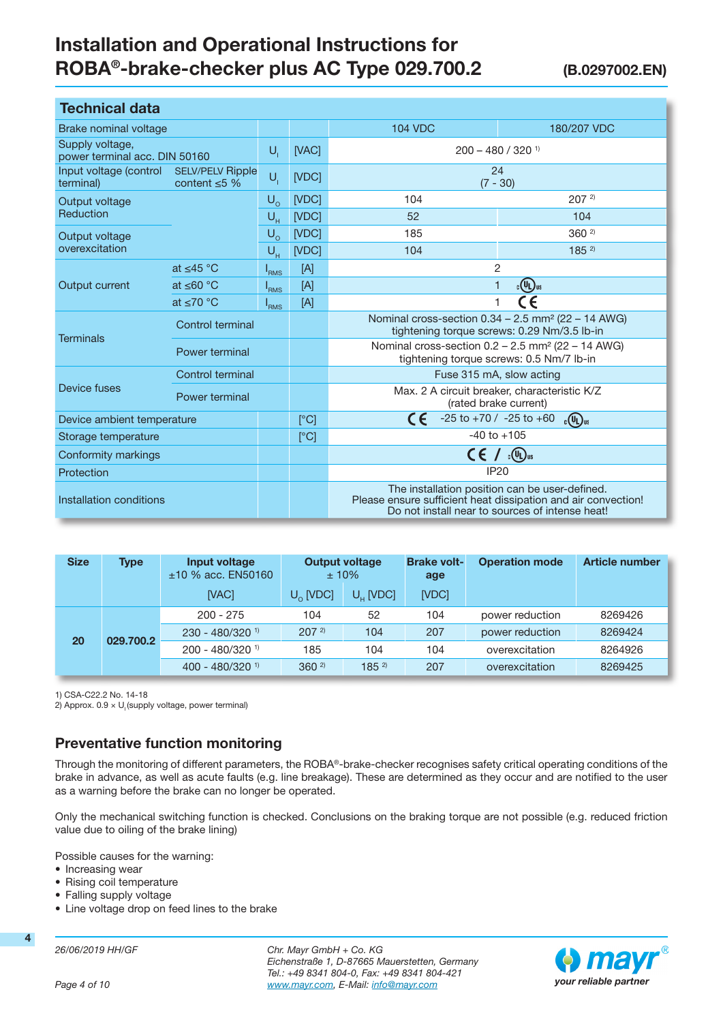| <b>Technical data</b>                                                                |                         |                  |       |                                                                                                                                                                    |             |  |
|--------------------------------------------------------------------------------------|-------------------------|------------------|-------|--------------------------------------------------------------------------------------------------------------------------------------------------------------------|-------------|--|
| <b>Brake nominal voltage</b>                                                         |                         |                  |       | <b>104 VDC</b>                                                                                                                                                     | 180/207 VDC |  |
| Supply voltage,<br>power terminal acc. DIN 50160                                     |                         | $U_{i}$          | [VAC] | $200 - 480 / 320$ <sup>1)</sup>                                                                                                                                    |             |  |
| Input voltage (control<br><b>SELV/PELV Ripple</b><br>content $\leq$ 5 %<br>terminal) |                         | $U_i$            | [VDC] | 24<br>$(7 - 30)$                                                                                                                                                   |             |  |
| Output voltage                                                                       |                         | $U_{\Omega}$     | [VDC] | 104                                                                                                                                                                | $207^{2}$   |  |
| Reduction                                                                            |                         | $U_{H}$          | [VDC] | 52                                                                                                                                                                 | 104         |  |
| Output voltage                                                                       |                         | $U_{\Omega}$     | [VDC] | 185                                                                                                                                                                | $360^{2}$   |  |
| overexcitation                                                                       |                         | $U_{H}$          | [VDC] | 104                                                                                                                                                                | $185^{2}$   |  |
| Output current                                                                       | at $<$ 45 °C            | I <sub>RMS</sub> | [A]   | 2                                                                                                                                                                  |             |  |
|                                                                                      | at $\leq 60$ °C         | <sup>I</sup> RMS | [A]   | $_{c}$ (Up) <sub>us</sub><br>1                                                                                                                                     |             |  |
|                                                                                      | at $\leq 70$ °C         | $I_{RMS}$        | [A]   | C€<br>1                                                                                                                                                            |             |  |
| <b>Terminals</b>                                                                     | Control terminal        |                  |       | Nominal cross-section 0.34 - 2.5 mm <sup>2</sup> (22 - 14 AWG)<br>tightening torque screws: 0.29 Nm/3.5 lb-in                                                      |             |  |
|                                                                                      | Power terminal          |                  |       | Nominal cross-section $0.2 - 2.5$ mm <sup>2</sup> (22 - 14 AWG)<br>tightening torque screws: 0.5 Nm/7 lb-in                                                        |             |  |
|                                                                                      | <b>Control terminal</b> |                  |       | Fuse 315 mA, slow acting                                                                                                                                           |             |  |
| Device fuses                                                                         | Power terminal          |                  |       | Max. 2 A circuit breaker, characteristic K/Z<br>(rated brake current)                                                                                              |             |  |
| Device ambient temperature                                                           |                         |                  | [°C]  | CE<br>$-25$ to $+70$ / $-25$ to $+60$<br>$_{c}$ (U <sub>U</sub> ) <sub>us</sub>                                                                                    |             |  |
| Storage temperature                                                                  |                         |                  | [°C]  | $-40$ to $+105$                                                                                                                                                    |             |  |
| Conformity markings                                                                  |                         |                  |       | $_{\rm c}$ (Up) us<br>CE /                                                                                                                                         |             |  |
| Protection                                                                           |                         |                  |       | <b>IP20</b>                                                                                                                                                        |             |  |
| Installation conditions                                                              |                         |                  |       | The installation position can be user-defined.<br>Please ensure sufficient heat dissipation and air convection!<br>Do not install near to sources of intense heat! |             |  |

| <b>Size</b> | <b>Type</b> | Input voltage<br>$±10$ % acc. EN50160 | <b>Output voltage</b><br>$±10\%$ |                      | <b>Brake volt-</b><br>age | <b>Operation mode</b> | <b>Article number</b> |
|-------------|-------------|---------------------------------------|----------------------------------|----------------------|---------------------------|-----------------------|-----------------------|
|             |             | [VAC]                                 | $U_0$ [VDC]                      | $U_{\text{u}}$ [VDC] | [VDC]                     |                       |                       |
|             |             | $200 - 275$                           | 104                              | 52                   | 104                       | power reduction       | 8269426               |
| 20          | 029.700.2   | $230 - 480/320$ <sup>1)</sup>         | $207^{2}$                        | 104                  | 207                       | power reduction       | 8269424               |
|             |             | $200 - 480/320$ <sup>1)</sup>         | 185                              | 104                  | 104                       | overexcitation        | 8264926               |
|             |             | $400 - 480/320$ <sup>1)</sup>         | $360^{2}$                        | $185^{2}$            | 207                       | overexcitation        | 8269425               |

1) CSA-C22.2 No. 14-18

2) Approx.  $0.9 \times U$  (supply voltage, power terminal)

# Preventative function monitoring

Through the monitoring of different parameters, the ROBA®-brake-checker recognises safety critical operating conditions of the brake in advance, as well as acute faults (e.g. line breakage). These are determined as they occur and are notified to the user as a warning before the brake can no longer be operated.

Only the mechanical switching function is checked. Conclusions on the braking torque are not possible (e.g. reduced friction value due to oiling of the brake lining)

Possible causes for the warning:

- Increasing wear
- Rising coil temperature
- Falling supply voltage
- Line voltage drop on feed lines to the brake

26/06/2019 HH/GF

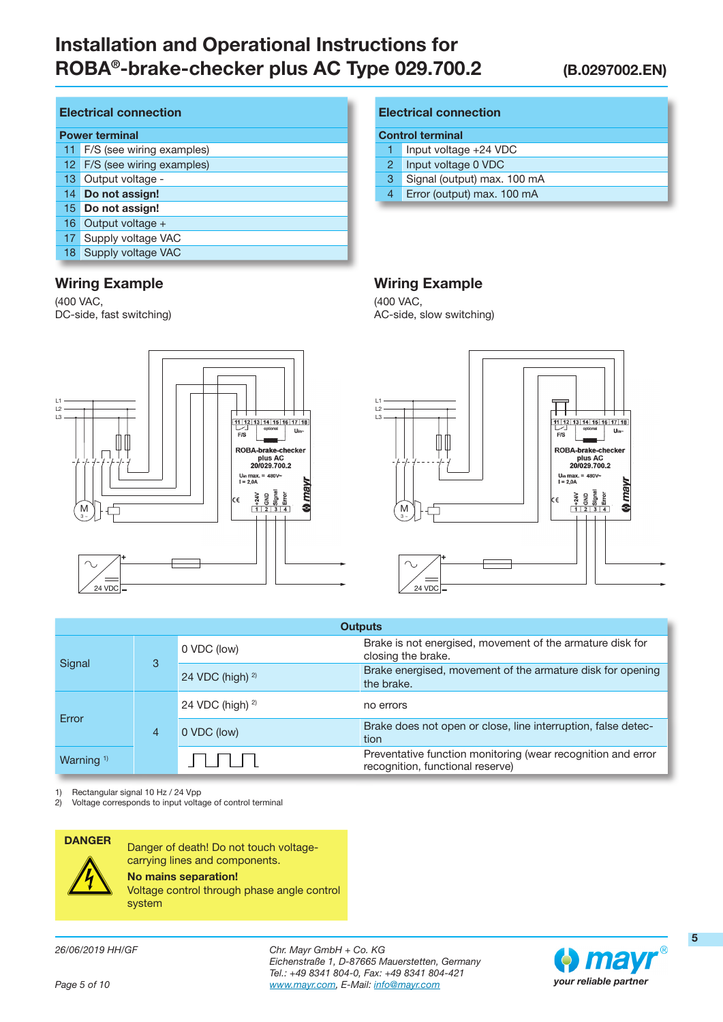#### Electrical connection

|  | <b>Power terminal</b> |  |
|--|-----------------------|--|

- 11 F/S (see wiring examples)
- 12 F/S (see wiring examples)
- 13 Output voltage -
- 14 Do not assign!
- 15 Do not assign!
- 16 Output voltage +
- 17 Supply voltage VAC
- 18 Supply voltage VAC

# Wiring Example

(400 VAC, DC-side, fast switching)

#### Electrical connection

#### Control terminal

- 1 Input voltage +24 VDC
- 2 Input voltage 0 VDC
- 3 Signal (output) max. 100 mA
- 4 Error (output) max. 100 mA

# Wiring Example

(400 VAC, AC-side, slow switching)





| <b>Outputs</b>        |  |                      |                                                                                                  |  |
|-----------------------|--|----------------------|--------------------------------------------------------------------------------------------------|--|
| Signal<br>3           |  | 0 VDC (low)          | Brake is not energised, movement of the armature disk for<br>closing the brake.                  |  |
|                       |  | 24 VDC (high) $2$ )  | Brake energised, movement of the armature disk for opening<br>the brake.                         |  |
| Error<br>4            |  | 24 VDC (high) $^{2}$ | no errors                                                                                        |  |
|                       |  | 0 VDC (low)          | Brake does not open or close, line interruption, false detec-<br>tion                            |  |
| Warning <sup>1)</sup> |  |                      | Preventative function monitoring (wear recognition and error<br>recognition, functional reserve) |  |

1) Rectangular signal 10 Hz / 24 Vpp

2) Voltage corresponds to input voltage of control terminal



DANGER Danger of death! Do not touch voltagecarrying lines and components. No mains separation!

Voltage control through phase angle control system

26/06/2019 HH/GF

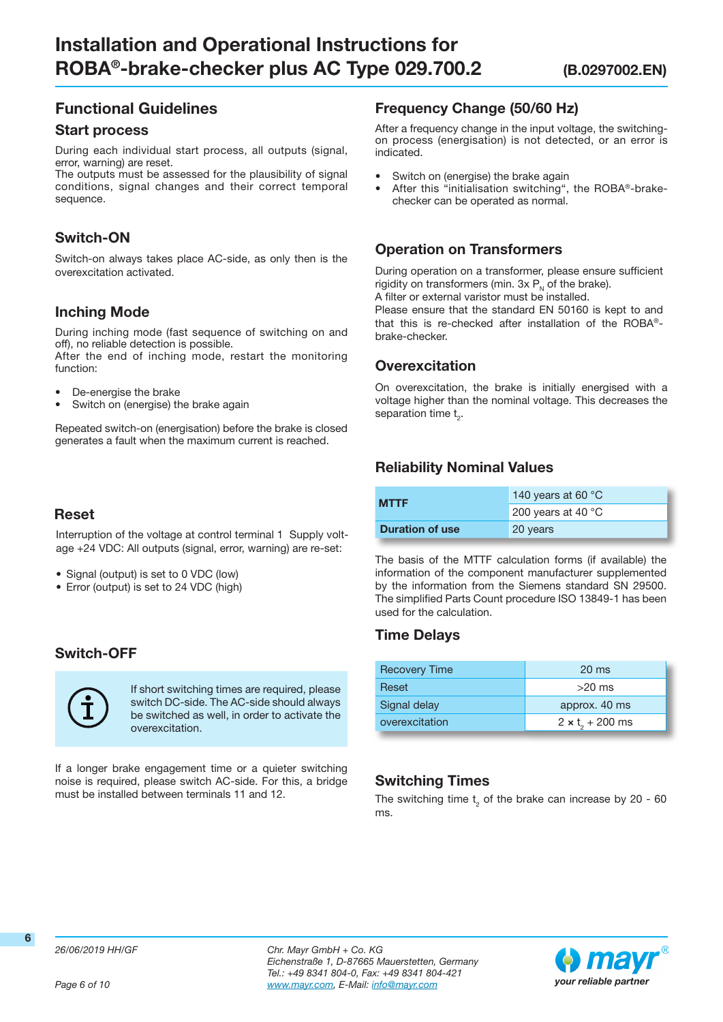# Functional Guidelines

#### Start process

During each individual start process, all outputs (signal, error, warning) are reset.

The outputs must be assessed for the plausibility of signal conditions, signal changes and their correct temporal sequence.

# Switch-ON

Switch-on always takes place AC-side, as only then is the overexcitation activated.

# Inching Mode

During inching mode (fast sequence of switching on and off), no reliable detection is possible.

After the end of inching mode, restart the monitoring function:

- De-energise the brake
- Switch on (energise) the brake again

Repeated switch-on (energisation) before the brake is closed generates a fault when the maximum current is reached.

# Reset

Interruption of the voltage at control terminal 1 Supply voltage +24 VDC: All outputs (signal, error, warning) are re-set:

- Signal (output) is set to 0 VDC (low)
- Error (output) is set to 24 VDC (high)

# Switch-OFF



If short switching times are required, please switch DC-side. The AC-side should always be switched as well, in order to activate the overexcitation.

If a longer brake engagement time or a quieter switching noise is required, please switch AC-side. For this, a bridge must be installed between terminals 11 and 12.

## Frequency Change (50/60 Hz)

After a frequency change in the input voltage, the switchingon process (energisation) is not detected, or an error is indicated.

- Switch on (energise) the brake again
- After this "initialisation switching", the ROBA®-brakechecker can be operated as normal.

## Operation on Transformers

During operation on a transformer, please ensure sufficient rigidity on transformers (min.  $3x P<sub>N</sub>$  of the brake).

A filter or external varistor must be installed.

Please ensure that the standard EN 50160 is kept to and that this is re-checked after installation of the ROBA® brake-checker.

# **Overexcitation**

On overexcitation, the brake is initially energised with a voltage higher than the nominal voltage. This decreases the separation time  $t<sub>2</sub>$ .

# Reliability Nominal Values

| <b>MTTF</b>            | 140 years at 60 $\degree$ C  |  |
|------------------------|------------------------------|--|
|                        | 200 years at 40 $^{\circ}$ C |  |
| <b>Duration of use</b> | 20 years                     |  |

The basis of the MTTF calculation forms (if available) the information of the component manufacturer supplemented by the information from the Siemens standard SN 29500. The simplified Parts Count procedure ISO 13849-1 has been used for the calculation.

# Time Delays

| <b>Recovery Time</b> | $20 \text{ ms}$                    |  |
|----------------------|------------------------------------|--|
| Reset                | $>20$ ms                           |  |
| Signal delay         | approx. 40 ms                      |  |
| overexcitation       | $2 \times t$ <sub>2</sub> + 200 ms |  |

# Switching Times

The switching time  $t_2$  of the brake can increase by 20 - 60 ms.



Page 6 of 10

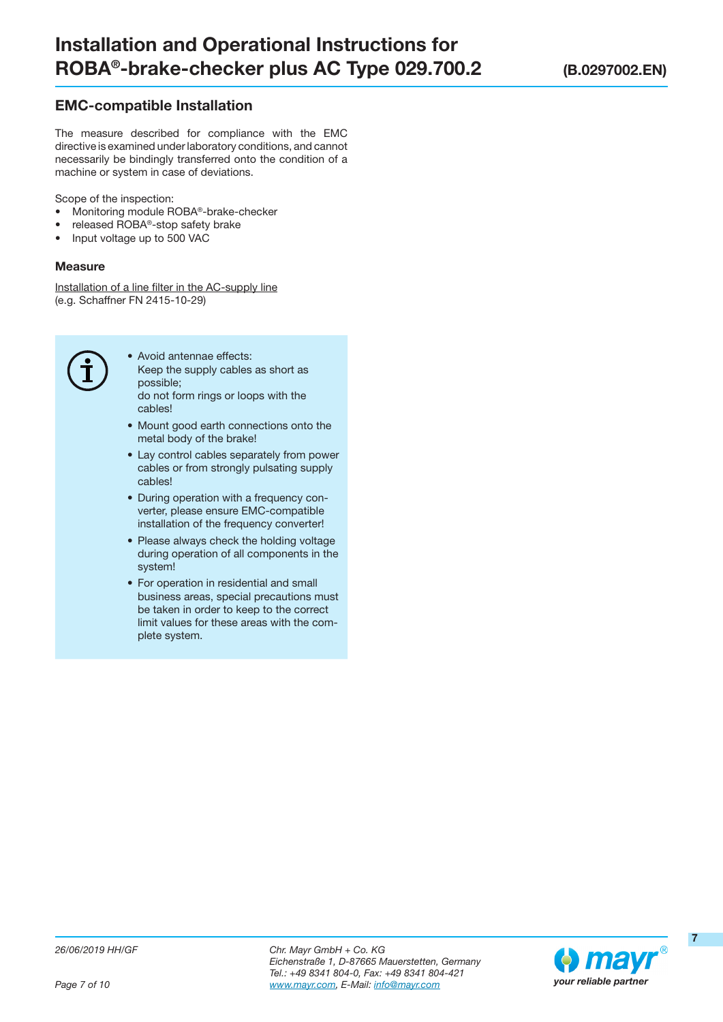# EMC-compatible Installation

The measure described for compliance with the EMC directive is examined under laboratory conditions, and cannot necessarily be bindingly transferred onto the condition of a machine or system in case of deviations.

Scope of the inspection:

- Monitoring module ROBA®-brake-checker
- released ROBA®-stop safety brake
- Input voltage up to 500 VAC

#### **Measure**

Installation of a line filter in the AC-supply line (e.g. Schaffner FN 2415-10-29)



- Avoid antennae effects: Keep the supply cables as short as possible; do not form rings or loops with the cables!
- Mount good earth connections onto the metal body of the brake!
- Lay control cables separately from power cables or from strongly pulsating supply cables!
- During operation with a frequency converter, please ensure EMC-compatible installation of the frequency converter!
- Please always check the holding voltage during operation of all components in the system!
- For operation in residential and small business areas, special precautions must be taken in order to keep to the correct limit values for these areas with the complete system.

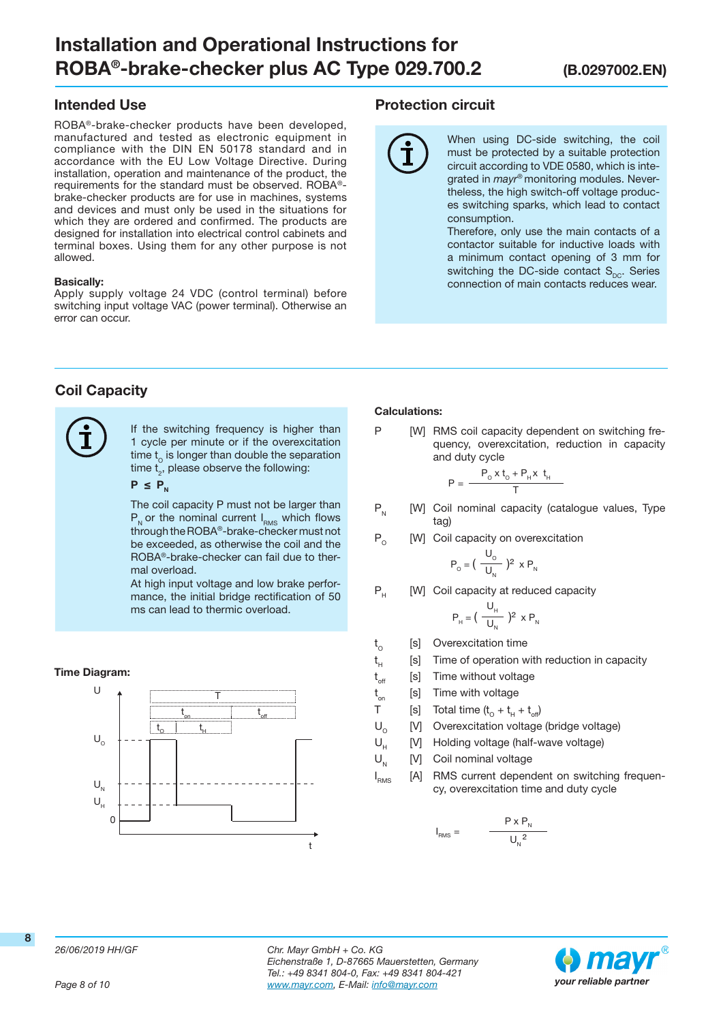## Intended Use

ROBA®-brake-checker products have been developed, manufactured and tested as electronic equipment in compliance with the DIN EN 50178 standard and in accordance with the EU Low Voltage Directive. During installation, operation and maintenance of the product, the requirements for the standard must be observed. ROBA® brake-checker products are for use in machines, systems and devices and must only be used in the situations for which they are ordered and confirmed. The products are designed for installation into electrical control cabinets and terminal boxes. Using them for any other purpose is not allowed.

#### Basically:

Apply supply voltage 24 VDC (control terminal) before switching input voltage VAC (power terminal). Otherwise an error can occur.

#### Protection circuit

When using DC-side switching, the coil must be protected by a suitable protection circuit according to VDE 0580, which is integrated in mayr<sup>®</sup> monitoring modules. Nevertheless, the high switch-off voltage produces switching sparks, which lead to contact consumption.

Therefore, only use the main contacts of a contactor suitable for inductive loads with a minimum contact opening of 3 mm for switching the DC-side contact  $S_{\text{nc}}$ . Series connection of main contacts reduces wear.

# Coil Capacity



If the switching frequency is higher than 1 cycle per minute or if the overexcitation time  $t_0$  is longer than double the separation time  $t<sub>2</sub>$ , please observe the following:

#### $P \leq P_{N}$

The coil capacity P must not be larger than  $P_{N}$  or the nominal current  $I_{RMS}$  which flows through the ROBA®-brake-checker must not be exceeded, as otherwise the coil and the ROBA®-brake-checker can fail due to thermal overload.

At high input voltage and low brake performance, the initial bridge rectification of 50 ms can lead to thermic overload.

#### Time Diagram:



#### Calculations:

P [W] RMS coil capacity dependent on switching frequency, overexcitation, reduction in capacity and duty cycle

$$
= \frac{P_o \times t_o + P_H \times t_H}{T}
$$

- $P_N$  [W] Coil nominal capacity (catalogue values, Type tag)
- $P_0$  [W] Coil capacity on overexcitation

$$
P_{o} = \left(\frac{U_{o}}{U_{N}}\right)^{2} \times P_{N}
$$

P<sub>u</sub> [W] Coil capacity at reduced capacity

$$
P_{H} = \left(\frac{U_{H}}{U_{N}}\right)^{2} \times P_{N}
$$

 $t_{\rm o}$ [s] Overexcitation time

P

- $t_{\text{\tiny H}}$ [s] Time of operation with reduction in capacity
- $t_{\text{off}}$ [s] Time without voltage
- t [s] Time with voltage
- T [s] Total time  $(t_0 + t_0 + t_{off})$
- $U_0$  [V] Overexcitation voltage (bridge voltage)<br>U. M Holding voltage (half-wave voltage)
	- [V] Holding voltage (half-wave voltage)
- $U_{N}$  [V] Coil nominal voltage
- I<sub>RMS</sub> [A] RMS current dependent on switching frequency, overexcitation time and duty cycle

$$
I_{\text{RMS}} = \frac{P \times P_{N}}{U_{N}^{2}}
$$

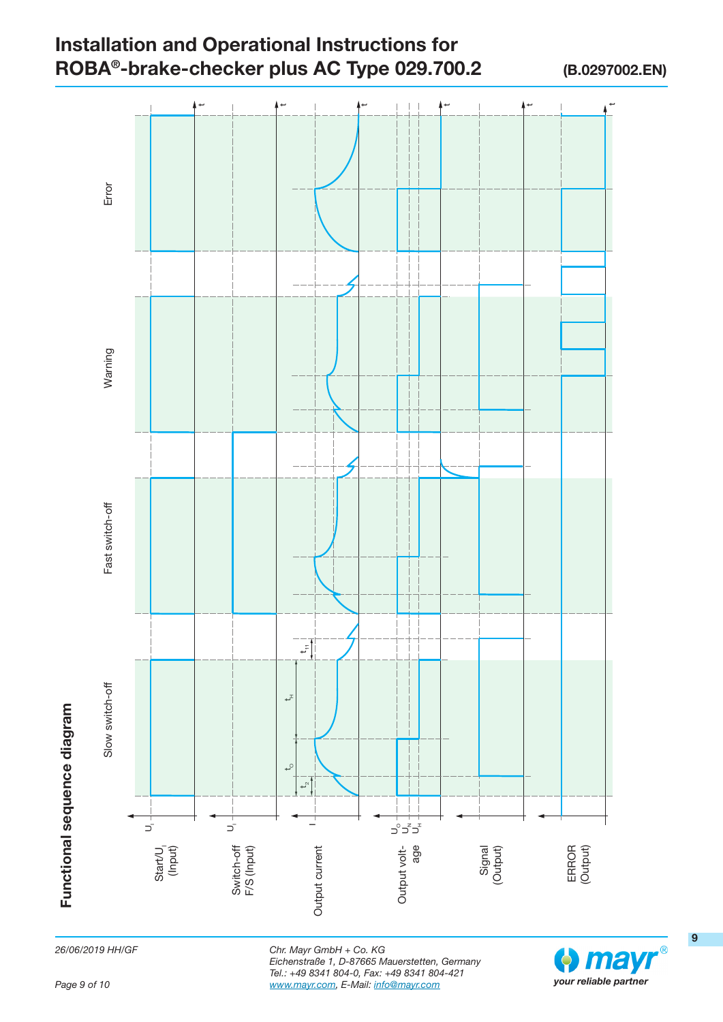

26/06/2019 HH/GF



9

Page 9 of 10